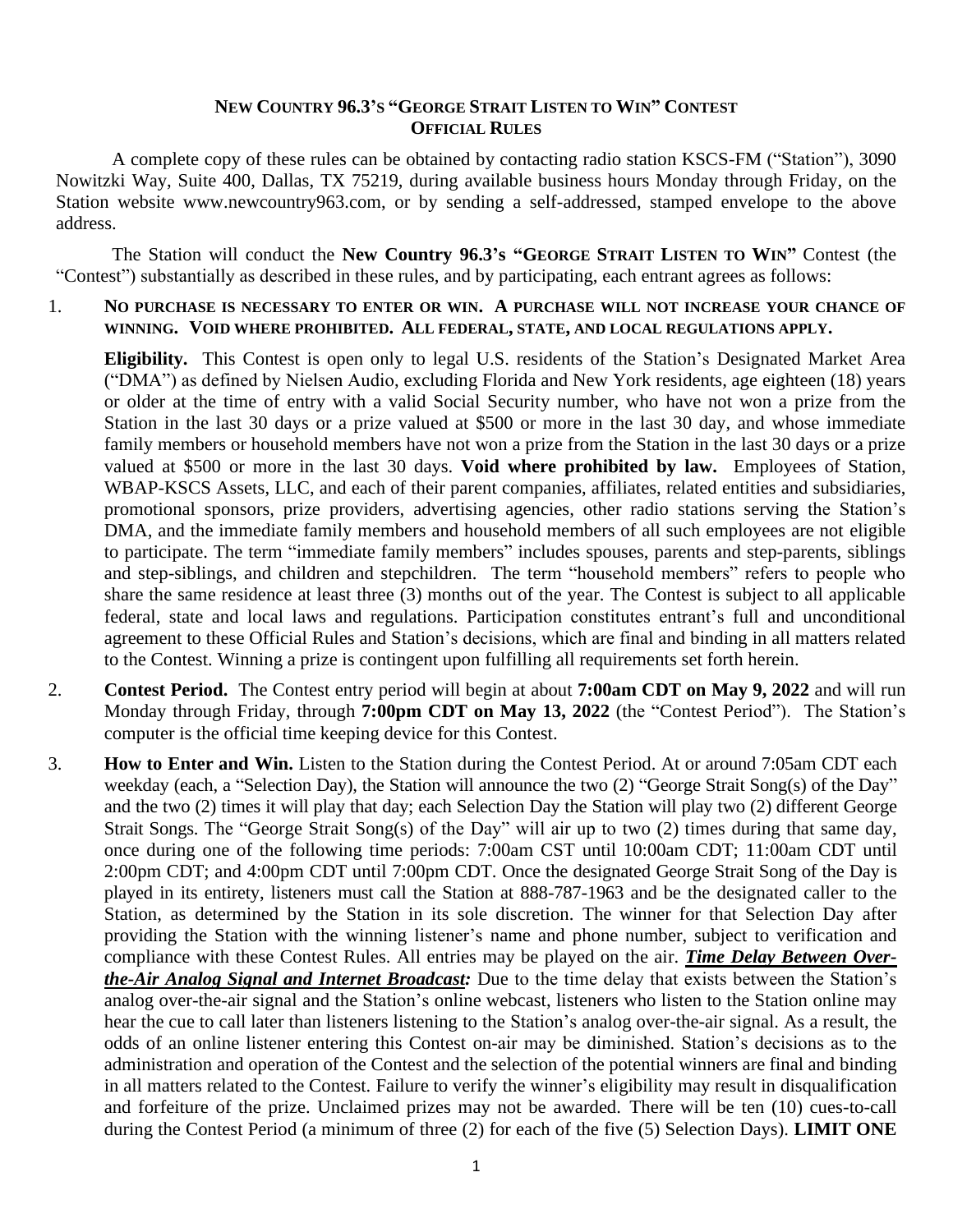# **NEW COUNTRY 96.3'S "GEORGE STRAIT LISTEN TO WIN" CONTEST OFFICIAL RULES**

A complete copy of these rules can be obtained by contacting radio station KSCS-FM ("Station"), 3090 Nowitzki Way, Suite 400, Dallas, TX 75219, during available business hours Monday through Friday, on the Station website www.newcountry963.com, or by sending a self-addressed, stamped envelope to the above address.

The Station will conduct the **New Country 96.3's "GEORGE STRAIT LISTEN TO WIN"** Contest (the "Contest") substantially as described in these rules, and by participating, each entrant agrees as follows:

### 1. **NO PURCHASE IS NECESSARY TO ENTER OR WIN. A PURCHASE WILL NOT INCREASE YOUR CHANCE OF WINNING. VOID WHERE PROHIBITED. ALL FEDERAL, STATE, AND LOCAL REGULATIONS APPLY.**

**Eligibility.** This Contest is open only to legal U.S. residents of the Station's Designated Market Area ("DMA") as defined by Nielsen Audio, excluding Florida and New York residents, age eighteen (18) years or older at the time of entry with a valid Social Security number, who have not won a prize from the Station in the last 30 days or a prize valued at \$500 or more in the last 30 day, and whose immediate family members or household members have not won a prize from the Station in the last 30 days or a prize valued at \$500 or more in the last 30 days. **Void where prohibited by law.** Employees of Station, WBAP-KSCS Assets, LLC, and each of their parent companies, affiliates, related entities and subsidiaries, promotional sponsors, prize providers, advertising agencies, other radio stations serving the Station's DMA, and the immediate family members and household members of all such employees are not eligible to participate. The term "immediate family members" includes spouses, parents and step-parents, siblings and step-siblings, and children and stepchildren. The term "household members" refers to people who share the same residence at least three (3) months out of the year. The Contest is subject to all applicable federal, state and local laws and regulations. Participation constitutes entrant's full and unconditional agreement to these Official Rules and Station's decisions, which are final and binding in all matters related to the Contest. Winning a prize is contingent upon fulfilling all requirements set forth herein.

- 2. **Contest Period.** The Contest entry period will begin at about **7:00am CDT on May 9, 2022** and will run Monday through Friday, through **7:00pm CDT on May 13, 2022** (the "Contest Period"). The Station's computer is the official time keeping device for this Contest.
- 3. **How to Enter and Win.** Listen to the Station during the Contest Period. At or around 7:05am CDT each weekday (each, a "Selection Day), the Station will announce the two (2) "George Strait Song(s) of the Day" and the two (2) times it will play that day; each Selection Day the Station will play two (2) different George Strait Songs. The "George Strait Song(s) of the Day" will air up to two (2) times during that same day, once during one of the following time periods: 7:00am CST until 10:00am CDT; 11:00am CDT until 2:00pm CDT; and 4:00pm CDT until 7:00pm CDT. Once the designated George Strait Song of the Day is played in its entirety, listeners must call the Station at 888-787-1963 and be the designated caller to the Station, as determined by the Station in its sole discretion. The winner for that Selection Day after providing the Station with the winning listener's name and phone number, subject to verification and compliance with these Contest Rules. All entries may be played on the air. *Time Delay Between Overthe-Air Analog Signal and Internet Broadcast:* Due to the time delay that exists between the Station's analog over-the-air signal and the Station's online webcast, listeners who listen to the Station online may hear the cue to call later than listeners listening to the Station's analog over-the-air signal. As a result, the odds of an online listener entering this Contest on-air may be diminished. Station's decisions as to the administration and operation of the Contest and the selection of the potential winners are final and binding in all matters related to the Contest. Failure to verify the winner's eligibility may result in disqualification and forfeiture of the prize. Unclaimed prizes may not be awarded. There will be ten (10) cues-to-call during the Contest Period (a minimum of three (2) for each of the five (5) Selection Days). **LIMIT ONE**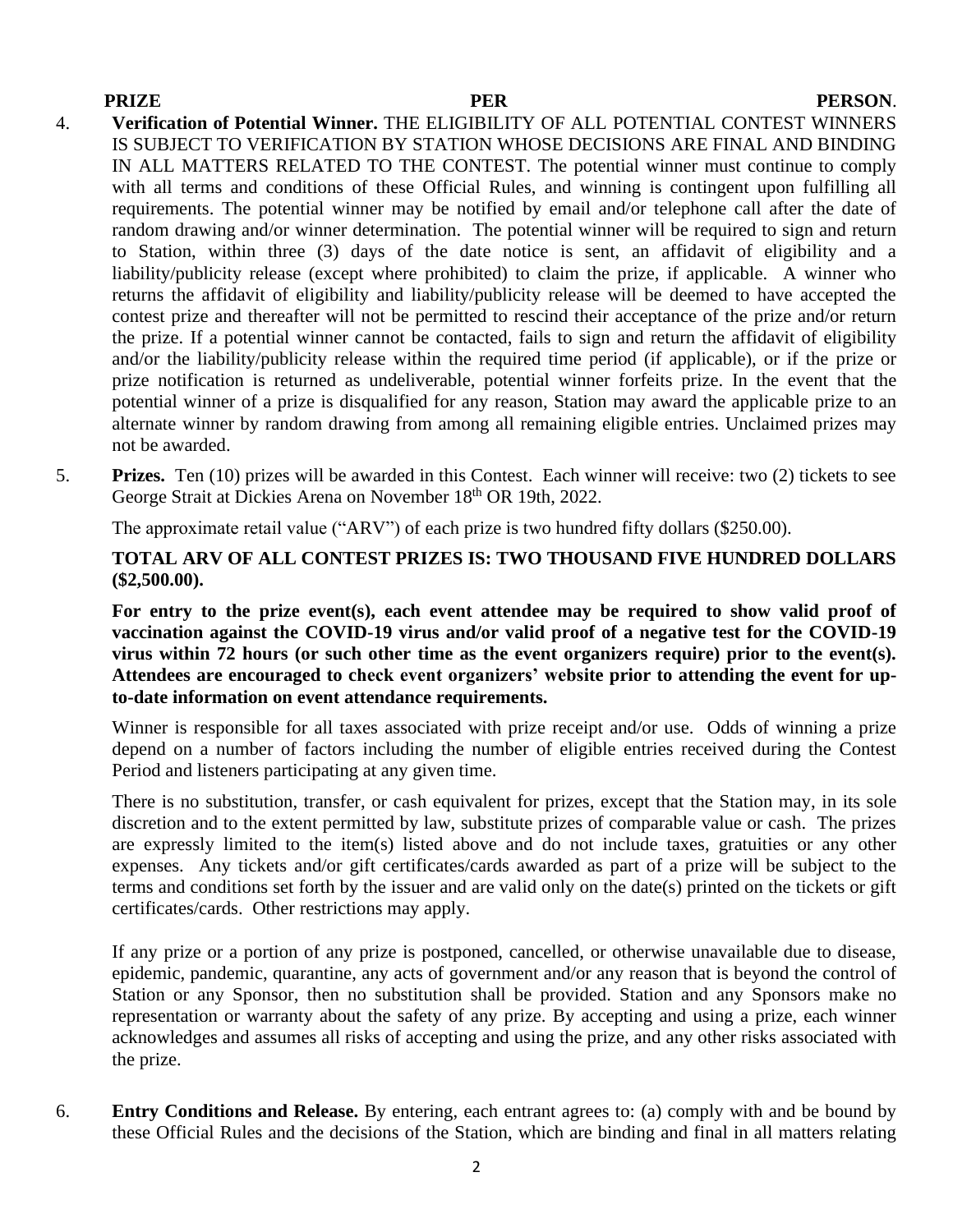- **PRIZE PER PERSON.** 4. **Verification of Potential Winner.** THE ELIGIBILITY OF ALL POTENTIAL CONTEST WINNERS IS SUBJECT TO VERIFICATION BY STATION WHOSE DECISIONS ARE FINAL AND BINDING IN ALL MATTERS RELATED TO THE CONTEST. The potential winner must continue to comply with all terms and conditions of these Official Rules, and winning is contingent upon fulfilling all requirements. The potential winner may be notified by email and/or telephone call after the date of random drawing and/or winner determination. The potential winner will be required to sign and return to Station, within three (3) days of the date notice is sent, an affidavit of eligibility and a liability/publicity release (except where prohibited) to claim the prize, if applicable. A winner who returns the affidavit of eligibility and liability/publicity release will be deemed to have accepted the contest prize and thereafter will not be permitted to rescind their acceptance of the prize and/or return the prize. If a potential winner cannot be contacted, fails to sign and return the affidavit of eligibility and/or the liability/publicity release within the required time period (if applicable), or if the prize or prize notification is returned as undeliverable, potential winner forfeits prize. In the event that the potential winner of a prize is disqualified for any reason, Station may award the applicable prize to an alternate winner by random drawing from among all remaining eligible entries. Unclaimed prizes may not be awarded.
- 5. **Prizes.** Ten (10) prizes will be awarded in this Contest. Each winner will receive: two (2) tickets to see George Strait at Dickies Arena on November 18<sup>th</sup> OR 19th. 2022.

The approximate retail value ("ARV") of each prize is two hundred fifty dollars (\$250.00).

**TOTAL ARV OF ALL CONTEST PRIZES IS: TWO THOUSAND FIVE HUNDRED DOLLARS (\$2,500.00).**

**For entry to the prize event(s), each event attendee may be required to show valid proof of vaccination against the COVID-19 virus and/or valid proof of a negative test for the COVID-19 virus within 72 hours (or such other time as the event organizers require) prior to the event(s). Attendees are encouraged to check event organizers' website prior to attending the event for upto-date information on event attendance requirements.**

Winner is responsible for all taxes associated with prize receipt and/or use. Odds of winning a prize depend on a number of factors including the number of eligible entries received during the Contest Period and listeners participating at any given time.

There is no substitution, transfer, or cash equivalent for prizes, except that the Station may, in its sole discretion and to the extent permitted by law, substitute prizes of comparable value or cash. The prizes are expressly limited to the item(s) listed above and do not include taxes, gratuities or any other expenses. Any tickets and/or gift certificates/cards awarded as part of a prize will be subject to the terms and conditions set forth by the issuer and are valid only on the date(s) printed on the tickets or gift certificates/cards. Other restrictions may apply.

If any prize or a portion of any prize is postponed, cancelled, or otherwise unavailable due to disease, epidemic, pandemic, quarantine, any acts of government and/or any reason that is beyond the control of Station or any Sponsor, then no substitution shall be provided. Station and any Sponsors make no representation or warranty about the safety of any prize. By accepting and using a prize, each winner acknowledges and assumes all risks of accepting and using the prize, and any other risks associated with the prize.

6. **Entry Conditions and Release.** By entering, each entrant agrees to: (a) comply with and be bound by these Official Rules and the decisions of the Station, which are binding and final in all matters relating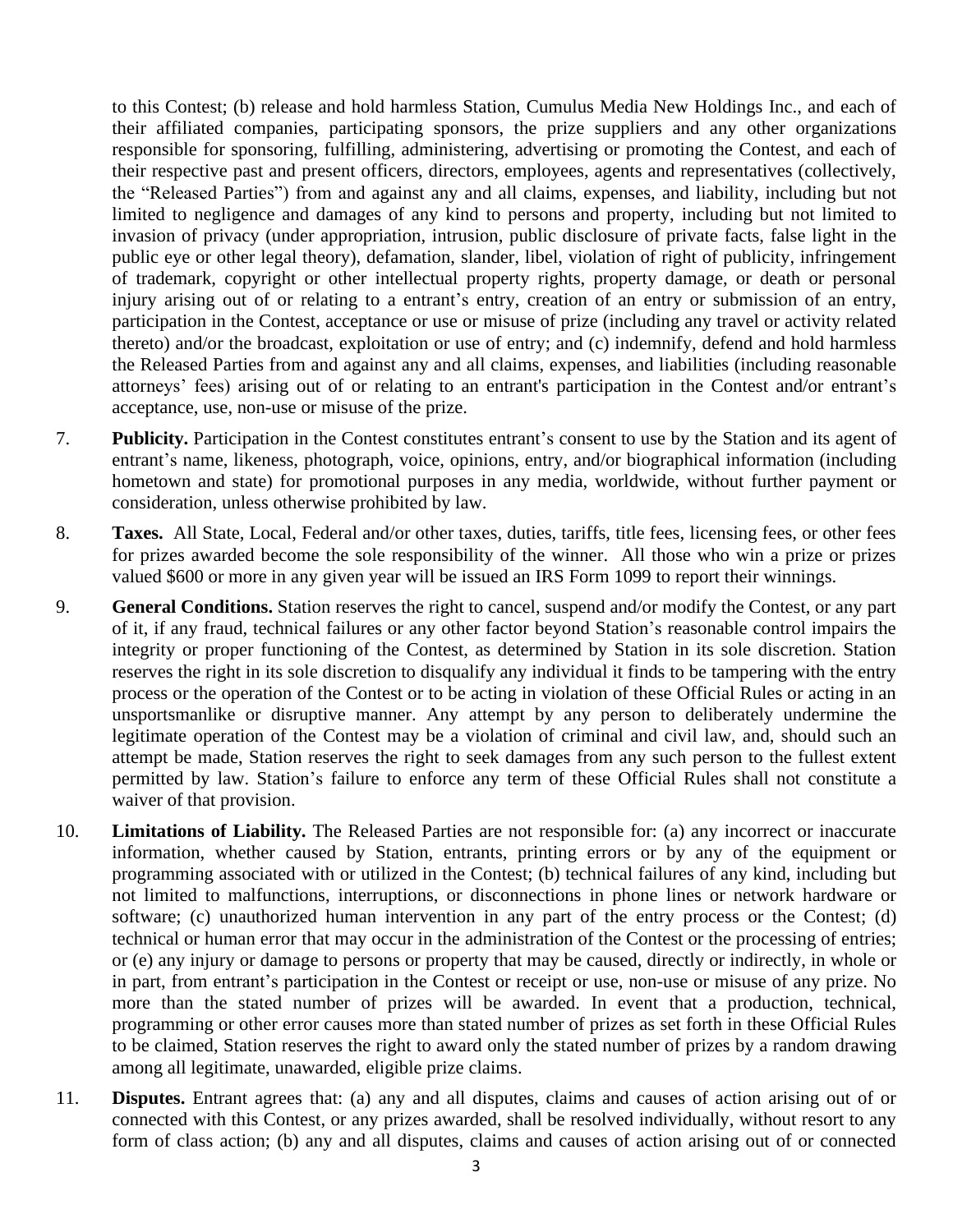to this Contest; (b) release and hold harmless Station, Cumulus Media New Holdings Inc., and each of their affiliated companies, participating sponsors, the prize suppliers and any other organizations responsible for sponsoring, fulfilling, administering, advertising or promoting the Contest, and each of their respective past and present officers, directors, employees, agents and representatives (collectively, the "Released Parties") from and against any and all claims, expenses, and liability, including but not limited to negligence and damages of any kind to persons and property, including but not limited to invasion of privacy (under appropriation, intrusion, public disclosure of private facts, false light in the public eye or other legal theory), defamation, slander, libel, violation of right of publicity, infringement of trademark, copyright or other intellectual property rights, property damage, or death or personal injury arising out of or relating to a entrant's entry, creation of an entry or submission of an entry, participation in the Contest, acceptance or use or misuse of prize (including any travel or activity related thereto) and/or the broadcast, exploitation or use of entry; and (c) indemnify, defend and hold harmless the Released Parties from and against any and all claims, expenses, and liabilities (including reasonable attorneys' fees) arising out of or relating to an entrant's participation in the Contest and/or entrant's acceptance, use, non-use or misuse of the prize.

- 7. **Publicity.** Participation in the Contest constitutes entrant's consent to use by the Station and its agent of entrant's name, likeness, photograph, voice, opinions, entry, and/or biographical information (including hometown and state) for promotional purposes in any media, worldwide, without further payment or consideration, unless otherwise prohibited by law.
- 8. **Taxes.** All State, Local, Federal and/or other taxes, duties, tariffs, title fees, licensing fees, or other fees for prizes awarded become the sole responsibility of the winner. All those who win a prize or prizes valued \$600 or more in any given year will be issued an IRS Form 1099 to report their winnings.
- 9. **General Conditions.** Station reserves the right to cancel, suspend and/or modify the Contest, or any part of it, if any fraud, technical failures or any other factor beyond Station's reasonable control impairs the integrity or proper functioning of the Contest, as determined by Station in its sole discretion. Station reserves the right in its sole discretion to disqualify any individual it finds to be tampering with the entry process or the operation of the Contest or to be acting in violation of these Official Rules or acting in an unsportsmanlike or disruptive manner. Any attempt by any person to deliberately undermine the legitimate operation of the Contest may be a violation of criminal and civil law, and, should such an attempt be made, Station reserves the right to seek damages from any such person to the fullest extent permitted by law. Station's failure to enforce any term of these Official Rules shall not constitute a waiver of that provision.
- 10. **Limitations of Liability.** The Released Parties are not responsible for: (a) any incorrect or inaccurate information, whether caused by Station, entrants, printing errors or by any of the equipment or programming associated with or utilized in the Contest; (b) technical failures of any kind, including but not limited to malfunctions, interruptions, or disconnections in phone lines or network hardware or software; (c) unauthorized human intervention in any part of the entry process or the Contest; (d) technical or human error that may occur in the administration of the Contest or the processing of entries; or (e) any injury or damage to persons or property that may be caused, directly or indirectly, in whole or in part, from entrant's participation in the Contest or receipt or use, non-use or misuse of any prize. No more than the stated number of prizes will be awarded. In event that a production, technical, programming or other error causes more than stated number of prizes as set forth in these Official Rules to be claimed, Station reserves the right to award only the stated number of prizes by a random drawing among all legitimate, unawarded, eligible prize claims.
- 11. **Disputes.** Entrant agrees that: (a) any and all disputes, claims and causes of action arising out of or connected with this Contest, or any prizes awarded, shall be resolved individually, without resort to any form of class action; (b) any and all disputes, claims and causes of action arising out of or connected